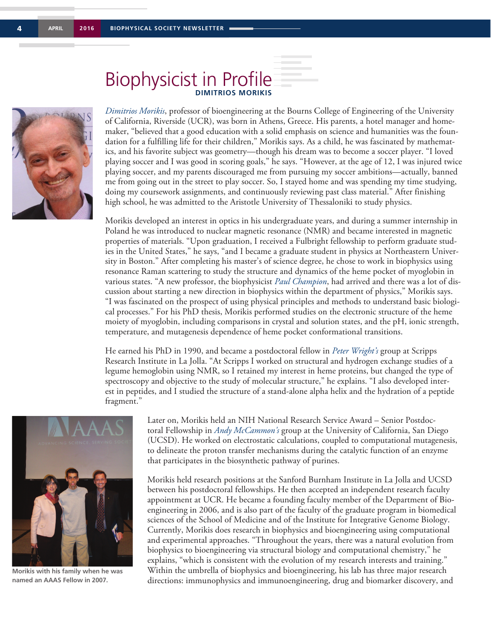

## **Biophysicist in Profile**

*Dimitrios Morikis*, professor of bioengineering at the Bourns College of Engineering of the University of California, Riverside (UCR), was born in Athens, Greece. His parents, a hotel manager and homemaker, "believed that a good education with a solid emphasis on science and humanities was the foundation for a fulfilling life for their children," Morikis says. As a child, he was fascinated by mathematics, and his favorite subject was geometry—though his dream was to become a soccer player. "I loved playing soccer and I was good in scoring goals," he says. "However, at the age of 12, I was injured twice playing soccer, and my parents discouraged me from pursuing my soccer ambitions—actually, banned me from going out in the street to play soccer. So, I stayed home and was spending my time studying, doing my coursework assignments, and continuously reviewing past class material." After finishing high school, he was admitted to the Aristotle University of Thessaloniki to study physics.

Morikis developed an interest in optics in his undergraduate years, and during a summer internship in Poland he was introduced to nuclear magnetic resonance (NMR) and became interested in magnetic properties of materials. "Upon graduation, I received a Fulbright fellowship to perform graduate studies in the United States," he says, "and I became a graduate student in physics at Northeastern University in Boston." After completing his master's of science degree, he chose to work in biophysics using resonance Raman scattering to study the structure and dynamics of the heme pocket of myoglobin in various states. "A new professor, the biophysicist *Paul Champion*, had arrived and there was a lot of discussion about starting a new direction in biophysics within the department of physics," Morikis says. "I was fascinated on the prospect of using physical principles and methods to understand basic biological processes." For his PhD thesis, Morikis performed studies on the electronic structure of the heme moiety of myoglobin, including comparisons in crystal and solution states, and the pH, ionic strength, temperature, and mutagenesis dependence of heme pocket conformational transitions.

He earned his PhD in 1990, and became a postdoctoral fellow in *Peter Wright's* group at Scripps Research Institute in La Jolla. "At Scripps I worked on structural and hydrogen exchange studies of a legume hemoglobin using NMR, so I retained my interest in heme proteins, but changed the type of spectroscopy and objective to the study of molecular structure," he explains. "I also developed interest in peptides, and I studied the structure of a stand-alone alpha helix and the hydration of a peptide fragment."



**Morikis with his family when he was named an AAAS Fellow in 2007.**

Later on, Morikis held an NIH National Research Service Award – Senior Postdoctoral Fellowship in *Andy McCammon's* group at the University of California, San Diego (UCSD). He worked on electrostatic calculations, coupled to computational mutagenesis, to delineate the proton transfer mechanisms during the catalytic function of an enzyme that participates in the biosynthetic pathway of purines.

Morikis held research positions at the Sanford Burnham Institute in La Jolla and UCSD between his postdoctoral fellowships. He then accepted an independent research faculty appointment at UCR. He became a founding faculty member of the Department of Bioengineering in 2006, and is also part of the faculty of the graduate program in biomedical sciences of the School of Medicine and of the Institute for Integrative Genome Biology. Currently, Morikis does research in biophysics and bioengineering using computational and experimental approaches. "Throughout the years, there was a natural evolution from biophysics to bioengineering via structural biology and computational chemistry," he explains, "which is consistent with the evolution of my research interests and training." Within the umbrella of biophysics and bioengineering, his lab has three major research directions: immunophysics and immunoengineering, drug and biomarker discovery, and